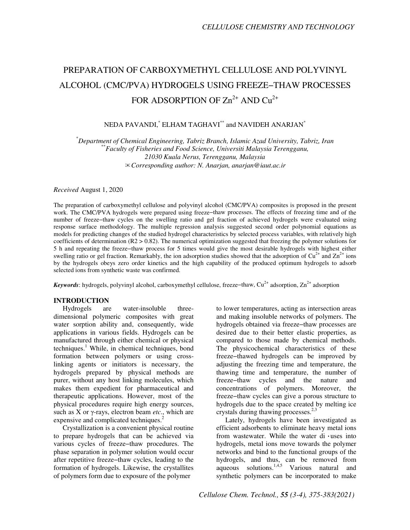# PREPARATION OF CARBOXYMETHYL CELLULOSE AND POLYVINYL ALCOHOL (CMC/PVA) HYDROGELS USING FREEZE−THAW PROCESSES FOR ADSORPTION OF  $Zn^{2+}$  AND  $Cu^{2+}$

# NEDA PAVANDI, $^{*}$  ELHAM TAGHAVI $^{**}$  and NAVIDEH ANARJAN $^{*}$

\**Department of Chemical Engineering, Tabriz Branch, Islamic Azad University, Tabriz, Iran*  \*\**Faculty of Fisheries and Food Science, Universiti Malaysia Terengganu, 21030 Kuala Nerus, Terengganu, Malaysia*  ✉*Corresponding author: N. Anarjan, anarjan@iaut.ac.ir* 

*Received* August 1, 2020

The preparation of carboxymethyl cellulose and polyvinyl alcohol (CMC/PVA) composites is proposed in the present work. The CMC/PVA hydrogels were prepared using freeze−thaw processes. The effects of freezing time and of the number of freeze−thaw cycles on the swelling ratio and gel fraction of achieved hydrogels were evaluated using response surface methodology. The multiple regression analysis suggested second order polynomial equations as models for predicting changes of the studied hydrogel characteristics by selected process variables, with relatively high coefficients of determination (R2 > 0.82). The numerical optimization suggested that freezing the polymer solutions for 5 h and repeating the freeze−thaw process for 5 times would give the most desirable hydrogels with highest either swelling ratio or gel fraction. Remarkably, the ion adsorption studies showed that the adsorption of  $Cu^{2+}$  and  $Zn^{2+}$  ions by the hydrogels obeys zero order kinetics and the high capability of the produced optimum hydrogels to adsorb selected ions from synthetic waste was confirmed.

*Keywords*: hydrogels, polyvinyl alcohol, carboxymethyl cellulose, freeze–thaw, Cu<sup>2+</sup> adsorption, Zn<sup>2+</sup> adsorption

## **INTRODUCTION**

Hydrogels are water-insoluble threedimensional polymeric composites with great water sorption ability and, consequently, wide applications in various fields. Hydrogels can be manufactured through either chemical or physical techniques.<sup>1</sup> While, in chemical techniques, bond formation between polymers or using crosslinking agents or initiators is necessary, the hydrogels prepared by physical methods are purer, without any host linking molecules, which makes them expedient for pharmaceutical and therapeutic applications. However, most of the physical procedures require high energy sources, such as X or γ-rays, electron beam *etc*., which are expensive and complicated techniques.<sup>2</sup>

Crystallization is a convenient physical routine to prepare hydrogels that can be achieved via various cycles of freeze−thaw procedures. The phase separation in polymer solution would occur after repetitive freeze−thaw cycles, leading to the formation of hydrogels. Likewise, the crystallites of polymers form due to exposure of the polymer

to lower temperatures, acting as intersection areas and making insoluble networks of polymers. The hydrogels obtained via freeze−thaw processes are desired due to their better elastic properties, as compared to those made by chemical methods. The physicochemical characteristics of these freeze−thawed hydrogels can be improved by adjusting the freezing time and temperature, the thawing time and temperature, the number of freeze−thaw cycles and the nature and concentrations of polymers. Moreover, the freeze−thaw cycles can give a porous structure to hydrogels due to the space created by melting ice crystals during thawing processes. $2,3$ 

Lately, hydrogels have been investigated as efficient adsorbents to eliminate heavy metal ions from wastewater. While the water di  $\cdot$ uses into hydrogels, metal ions move towards the polymer networks and bind to the functional groups of the hydrogels, and thus, can be removed from aqueous solutions.<sup>1,4,5</sup> Various natural and synthetic polymers can be incorporated to make

*Cellulose Chem. Technol., 55 (3-4), 375-383(2021)*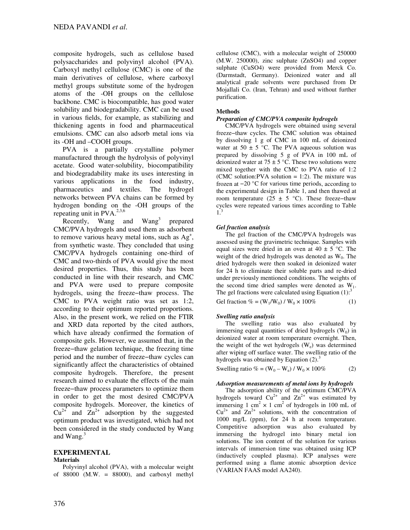composite hydrogels, such as cellulose based polysaccharides and polyvinyl alcohol (PVA). Carboxyl methyl cellulose (CMC) is one of the main derivatives of cellulose, where carboxyl methyl groups substitute some of the hydrogen atoms of the -OH groups on the cellulose backbone. CMC is biocompatible, has good water solubility and biodegradability. CMC can be used in various fields, for example, as stabilizing and thickening agents in food and pharmaceutical emulsions. CMC can also adsorb metal ions via its -OH and –COOH groups.

PVA is a partially crystalline polymer manufactured through the hydrolysis of polyvinyl acetate. Good water-solubility, biocompatibility and biodegradability make its uses interesting in various applications in the food industry, pharmaceutics and textiles. The hydrogel networks between PVA chains can be formed by hydrogen bonding on the -OH groups of the repeating unit in  $PVA.<sup>2,3,6</sup>$ 

Recently, Wang and Wang<sup>3</sup> prepared CMC/PVA hydrogels and used them as adsorbent to remove various heavy metal ions, such as  $Ag<sup>+</sup>$ , from synthetic waste. They concluded that using CMC/PVA hydrogels containing one-third of CMC and two-thirds of PVA would give the most desired properties. Thus, this study has been conducted in line with their research, and CMC and PVA were used to prepare composite hydrogels, using the freeze−thaw process. The CMC to PVA weight ratio was set as 1:2, according to their optimum reported proportions. Also, in the present work, we relied on the FTIR and XRD data reported by the cited authors, which have already confirmed the formation of composite gels. However, we assumed that, in the freeze−thaw gelation technique, the freezing time period and the number of freeze−thaw cycles can significantly affect the characteristics of obtained composite hydrogels. Therefore, the present research aimed to evaluate the effects of the main freeze−thaw process parameters to optimize them in order to get the most desired CMC/PVA composite hydrogels. Moreover, the kinetics of  $Cu^{2+}$  and  $Zn^{2+}$  adsorption by the suggested optimum product was investigated, which had not been considered in the study conducted by Wang and  $Wang.<sup>3</sup>$ 

# **EXPERIMENTAL**

## **Materials**

Polyvinyl alcohol (PVA), with a molecular weight of  $88000$  (M.W. =  $88000$ ), and carboxyl methyl

cellulose (CMC), with a molecular weight of 250000 (M.W. 250000), zinc sulphate (ZnSO4) and copper sulphate (CuSO4) were provided from Merck Co. (Darmstadt, Germany). Deionized water and all analytical grade solvents were purchased from Dr Mojallali Co. (Iran, Tehran) and used without further purification.

## **Methods**

## *Preparation of CMC/PVA composite hydrogels*

CMC/PVA hydrogels were obtained using several freeze−thaw cycles. The CMC solution was obtained by dissolving 1 g of CMC in 100 mL of deionized water at  $50 \pm 5$  °C. The PVA aqueous solution was prepared by dissolving 5 g of PVA in 100 mL of deionized water at 75  $\pm$  5 °C. These two solutions were mixed together with the CMC to PVA ratio of 1:2 (CMC solution: PVA solution  $= 1:2$ ). The mixture was frozen at −20 °C for various time periods, according to the experimental design in Table 1, and then thawed at room temperature (25 ± 5 °C). These freeze-thaw cycles were repeated various times according to Table 1.3

## *Gel fraction analysis*

The gel fraction of the CMC/PVA hydrogels was assessed using the gravimetric technique. Samples with equal sizes were dried in an oven at  $40 \pm 5$  °C. The weight of the dried hydrogels was denoted as  $W_0$ . The dried hydrogels were then soaked in deionized water for 24 h to eliminate their soluble parts and re-dried under previously mentioned conditions. The weights of the second time dried samples were denoted as  $W_1$ . The gel fractions were calculated using Equation  $(1)$ :<sup>3</sup>

Gel fraction  $\% = (W_1/W_0) / W_0 \times 100\%$  (1)

## *Swelling ratio analysis*

The swelling ratio was also evaluated by immersing equal quantities of dried hydrogels  $(W_0)$  in deionized water at room temperature overnight. Then, the weight of the wet hydrogels  $(W_e)$  was determined after wiping off surface water. The swelling ratio of the hydrogels was obtained by Equation  $(2)^3$ 

Swelling ratio  $\% = (W_0 - W_e) / W_0 \times 100\%$  (2)

#### *Adsorption measurements of metal ions by hydrogels*

The adsorption ability of the optimum CMC/PVA hydrogels toward  $Cu^{2+}$  and  $Zn^{2+}$  was estimated by immersing 1 cm<sup>2</sup>  $\times$  1 cm<sup>2</sup> of hydrogels in 100 mL of  $Cu^{2+}$  and  $Zn^{2+}$  solutions, with the concentration of 1000 mg/L (ppm), for 24 h at room temperature. Competitive adsorption was also evaluated by immersing the hydrogel into binary metal ion solutions. The ion content of the solution for various intervals of immersion time was obtained using ICP (inductively coupled plasma). ICP analyses were performed using a flame atomic absorption device (VARIAN FAAS model AA240).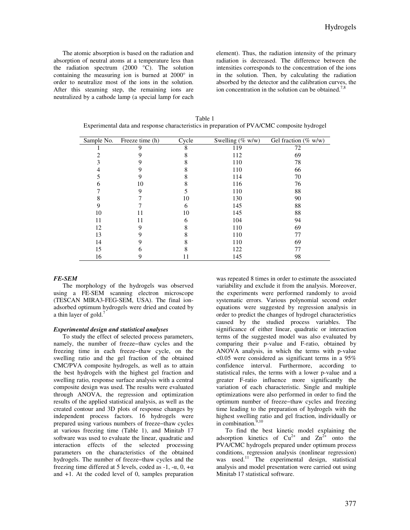The atomic absorption is based on the radiation and absorption of neutral atoms at a temperature less than the radiation spectrum (2000 °C). The solution containing the measuring ion is burned at 2000° in order to neutralize most of the ions in the solution. After this steaming step, the remaining ions are neutralized by a cathode lamp (a special lamp for each element). Thus, the radiation intensity of the primary radiation is decreased. The difference between the intensities corresponds to the concentration of the ions in the solution. Then, by calculating the radiation absorbed by the detector and the calibration curves, the ion concentration in the solution can be obtained.<sup>7,8</sup>

| Table 1                                                                                     |
|---------------------------------------------------------------------------------------------|
| Experimental data and response characteristics in preparation of PVA/CMC composite hydrogel |

| Sample No. | Freeze time (h) | Cycle | Swelling (% $w/w$ ) | Gel fraction (% $w/w$ ) |
|------------|-----------------|-------|---------------------|-------------------------|
|            | 9               | 8     | 119                 | 72                      |
|            |                 | 8     | 112                 | 69                      |
|            |                 | 8     | 110                 | 78                      |
| 4          |                 | 8     | 110                 | 66                      |
|            | 9               | 8     | 114                 | 70                      |
| h          | 10              | 8     | 116                 | 76                      |
|            | 9               |       | 110                 | 88                      |
| 8          |                 | 10    | 130                 | 90                      |
| 9          |                 | 6     | 145                 | 88                      |
| 10         | 11              | 10    | 145                 | 88                      |
| 11         | 11              | 6     | 104                 | 94                      |
| 12         |                 | 8     | 110                 | 69                      |
| 13         |                 |       | 110                 | 77                      |
| 14         | 9               | 8     | 110                 | 69                      |
| 15         | 6               | 8     | 122                 | 77                      |
| 16         | 9               | 11    | 145                 | 98                      |

#### *FE-SEM*

The morphology of the hydrogels was observed using a FE-SEM scanning electron microscope (TESCAN MIRA3-FEG-SEM, USA). The final ionadsorbed optimum hydrogels were dried and coated by a thin layer of gold. $<sup>7</sup>$ </sup>

#### *Experimental design and statistical analyses*

To study the effect of selected process parameters, namely, the number of freeze−thaw cycles and the freezing time in each freeze−thaw cycle, on the swelling ratio and the gel fraction of the obtained CMC/PVA composite hydrogels, as well as to attain the best hydrogels with the highest gel fraction and swelling ratio, response surface analysis with a central composite design was used. The results were evaluated through ANOVA, the regression and optimization results of the applied statistical analysis, as well as the created contour and 3D plots of response changes by independent process factors. 16 hydrogels were prepared using various numbers of freeze−thaw cycles at various freezing time (Table 1), and Minitab 17 software was used to evaluate the linear, quadratic and interaction effects of the selected processing parameters on the characteristics of the obtained hydrogels. The number of freeze−thaw cycles and the freezing time differed at 5 levels, coded as -1, -α, 0, +α and +1. At the coded level of 0, samples preparation

was repeated 8 times in order to estimate the associated variability and exclude it from the analysis. Moreover, the experiments were performed randomly to avoid systematic errors. Various polynomial second order equations were suggested by regression analysis in order to predict the changes of hydrogel characteristics caused by the studied process variables. The significance of either linear, quadratic or interaction terms of the suggested model was also evaluated by comparing their p-value and F-ratio, obtained by ANOVA analysis, in which the terms with p-value  $\leq 0.05$  were considered as significant terms in a 95% confidence interval. Furthermore, according to statistical rules, the terms with a lower p-value and a greater F-ratio influence more significantly the variation of each characteristic. Single and multiple optimizations were also performed in order to find the optimum number of freeze−thaw cycles and freezing time leading to the preparation of hydrogels with the highest swelling ratio and gel fraction, individually or in combination. $9,10$ 

To find the best kinetic model explaining the adsorption kinetics of  $Cu^{2+}$  and  $Zn^{2+}$  onto the PVA/CMC hydrogels prepared under optimum process conditions, regression analysis (nonlinear regression) was used.<sup>11</sup> The experimental design, statistical analysis and model presentation were carried out using Minitab 17 statistical software.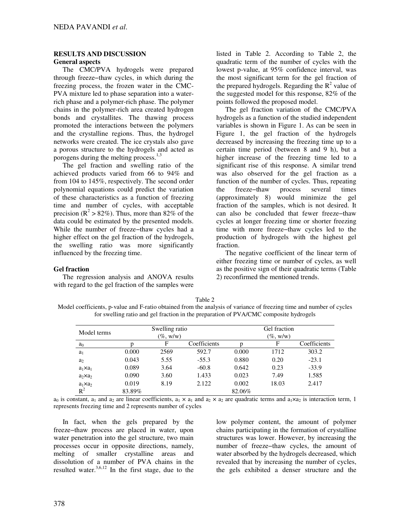## **RESULTS AND DISCUSSION General aspects**

The CMC/PVA hydrogels were prepared through freeze−thaw cycles, in which during the freezing process, the frozen water in the CMC-PVA mixture led to phase separation into a waterrich phase and a polymer-rich phase. The polymer chains in the polymer-rich area created hydrogen bonds and crystallites. The thawing process promoted the interactions between the polymers and the crystalline regions. Thus, the hydrogel networks were created. The ice crystals also gave a porous structure to the hydrogels and acted as porogens during the melting process.<sup>1,3</sup>

The gel fraction and swelling ratio of the achieved products varied from 66 to 94% and from 104 to 145%, respectively. The second order polynomial equations could predict the variation of these characteristics as a function of freezing time and number of cycles, with acceptable precision ( $\mathbb{R}^2 > 82\%$ ). Thus, more than 82% of the data could be estimated by the presented models. While the number of freeze−thaw cycles had a higher effect on the gel fraction of the hydrogels, the swelling ratio was more significantly influenced by the freezing time.

## **Gel fraction**

The regression analysis and ANOVA results with regard to the gel fraction of the samples were listed in Table 2. According to Table 2, the quadratic term of the number of cycles with the lowest p-value, at 95% confidence interval, was the most significant term for the gel fraction of the prepared hydrogels. Regarding the  $R^2$  value of the suggested model for this response, 82% of the points followed the proposed model.

The gel fraction variation of the CMC/PVA hydrogels as a function of the studied independent variables is shown in Figure 1. As can be seen in Figure 1, the gel fraction of the hydrogels decreased by increasing the freezing time up to a certain time period (between 8 and 9 h), but a higher increase of the freezing time led to a significant rise of this response. A similar trend was also observed for the gel fraction as a function of the number of cycles. Thus, repeating the freeze−thaw process several times (approximately 8) would minimize the gel fraction of the samples, which is not desired. It can also be concluded that fewer freeze−thaw cycles at longer freezing time or shorter freezing time with more freeze−thaw cycles led to the production of hydrogels with the highest gel fraction.

The negative coefficient of the linear term of either freezing time or number of cycles, as well as the positive sign of their quadratic terms (Table 2) reconfirmed the mentioned trends.

| Model coefficients, p-value and F-ratio obtained from the analysis of variance of freezing time and number of cycles<br>for swelling ratio and gel fraction in the preparation of PVA/CMC composite hydrogels |              |  |  |  |
|---------------------------------------------------------------------------------------------------------------------------------------------------------------------------------------------------------------|--------------|--|--|--|
| Swelling ratio                                                                                                                                                                                                | Gel fraction |  |  |  |

Table 2

| Model terms      |        | Swelling ratio |              |        | Gel fraction |              |
|------------------|--------|----------------|--------------|--------|--------------|--------------|
|                  |        | $(\%$ , w/w)   |              |        | $(\%$ , w/w) |              |
| $a_0$            |        | F              | Coefficients |        | F            | Coefficients |
| $a_1$            | 0.000  | 2569           | 592.7        | 0.000  | 1712         | 303.2        |
| a <sub>2</sub>   | 0.043  | 5.55           | $-55.3$      | 0.880  | 0.20         | $-23.1$      |
| $a_1 \times a_1$ | 0.089  | 3.64           | $-60.8$      | 0.642  | 0.23         | $-33.9$      |
| $a_2 \times a_2$ | 0.090  | 3.60           | 1.433        | 0.023  | 7.49         | 1.585        |
| $a_1 \times a_2$ | 0.019  | 8.19           | 2.122        | 0.002  | 18.03        | 2.417        |
| $R^2$            | 83.89% |                |              | 82.06% |              |              |

 $a_0$  is constant,  $a_1$  and  $a_2$  are linear coefficients,  $a_1 \times a_1$  and  $a_2 \times a_2$  are quadratic terms and  $a_1 \times a_2$  is interaction term, 1 represents freezing time and 2 represents number of cycles

In fact, when the gels prepared by the freeze−thaw process are placed in water, upon water penetration into the gel structure, two main processes occur in opposite directions, namely, melting of smaller crystalline areas and dissolution of a number of PVA chains in the resulted water. $3,6,12$  In the first stage, due to the low polymer content, the amount of polymer chains participating in the formation of crystalline structures was lower. However, by increasing the number of freeze−thaw cycles, the amount of water absorbed by the hydrogels decreased, which revealed that by increasing the number of cycles, the gels exhibited a denser structure and the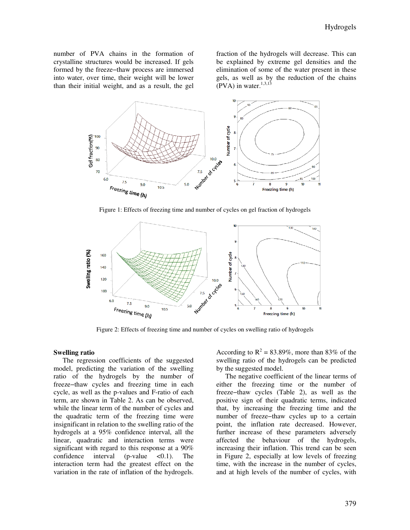number of PVA chains in the formation of crystalline structures would be increased. If gels formed by the freeze−thaw process are immersed into water, over time, their weight will be lower than their initial weight, and as a result, the gel

fraction of the hydrogels will decrease. This can be explained by extreme gel densities and the elimination of some of the water present in these gels, as well as by the reduction of the chains (PVA) in water. $1,3,13$ 



Figure 1: Effects of freezing time and number of cycles on gel fraction of hydrogels



Figure 2: Effects of freezing time and number of cycles on swelling ratio of hydrogels

#### **Swelling ratio**

The regression coefficients of the suggested model, predicting the variation of the swelling ratio of the hydrogels by the number of freeze−thaw cycles and freezing time in each cycle, as well as the p-values and F-ratio of each term, are shown in Table 2. As can be observed, while the linear term of the number of cycles and the quadratic term of the freezing time were insignificant in relation to the swelling ratio of the hydrogels at a 95% confidence interval, all the linear, quadratic and interaction terms were significant with regard to this response at a 90% confidence interval (p-value  $\langle 0.1 \rangle$ . The interaction term had the greatest effect on the variation in the rate of inflation of the hydrogels.

According to  $R^2 = 83.89\%$ , more than 83% of the swelling ratio of the hydrogels can be predicted by the suggested model.

The negative coefficient of the linear terms of either the freezing time or the number of freeze−thaw cycles (Table 2), as well as the positive sign of their quadratic terms, indicated that, by increasing the freezing time and the number of freeze−thaw cycles up to a certain point, the inflation rate decreased. However, further increase of these parameters adversely affected the behaviour of the hydrogels, increasing their inflation. This trend can be seen in Figure 2, especially at low levels of freezing time, with the increase in the number of cycles, and at high levels of the number of cycles, with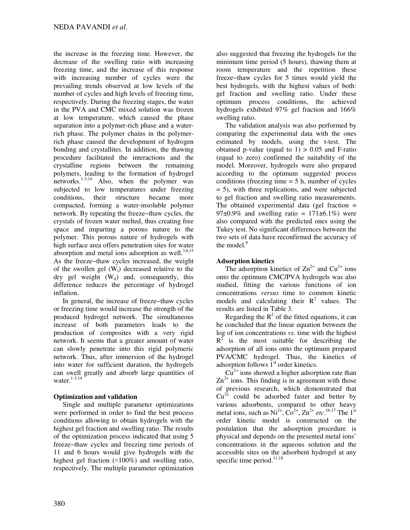the increase in the freezing time. However, the decrease of the swelling ratio with increasing freezing time, and the increase of this response with increasing number of cycles were the prevailing trends observed at low levels of the number of cycles and high levels of freezing time, respectively. During the freezing stages, the water in the PVA and CMC mixed solution was frozen at low temperature, which caused the phase separation into a polymer-rich phase and a waterrich phase. The polymer chains in the polymerrich phase caused the development of hydrogen bonding and crystallites. In addition, the thawing procedure facilitated the interactions and the crystalline regions between the remaining polymers, leading to the formation of hydrogel networks.<sup>1-3,14</sup> Also, when the polymer was subjected to low temperatures under freezing conditions, their structure became more compacted, forming a water-insoluble polymer network. By repeating the freeze−thaw cycles, the crystals of frozen water melted, thus creating free space and imparting a porous nature to the polymer. This porous nature of hydrogels with high surface area offers penetration sites for water absorption and metal ions adsorption as well. $3,6,15$ As the freeze−thaw cycles increased, the weight of the swollen gel  $(W_t)$  decreased relative to the dry gel weight  $(W_d)$  and, consequently, this difference reduces the percentage of hydrogel inflation.

In general, the increase of freeze−thaw cycles or freezing time would increase the strength of the produced hydrogel network. The simultaneous increase of both parameters leads to the production of composites with a very rigid network. It seems that a greater amount of water can slowly penetrate into this rigid polymeric network. Thus, after immersion of the hydrogel into water for sufficient duration, the hydrogels can swell greatly and absorb large quantities of water. $1-3,14$ 

# **Optimization and validation**

Single and multiple parameter optimizations were performed in order to find the best process conditions allowing to obtain hydrogels with the highest gel fraction and swelling ratio. The results of the optimization process indicated that using 5 freeze−thaw cycles and freezing time periods of 11 and 6 hours would give hydrogels with the highest gel fraction (≈100%) and swelling ratio, respectively. The multiple parameter optimization also suggested that freezing the hydrogels for the minimum time period (5 hours), thawing them at room temperature and the repetition these freeze−thaw cycles for 5 times would yield the best hydrogels, with the highest values of both: gel fraction and swelling ratio. Under these optimum process conditions, the achieved hydrogels exhibited 97% gel fraction and 166% swelling ratio.

The validation analysis was also performed by comparing the experimental data with the ones estimated by models, using the t-test. The obtained p-value (equal to  $1$ ) > 0.05 and F-ratio (equal to zero) confirmed the suitability of the model. Moreover, hydrogels were also prepared according to the optimum suggested process conditions (freezing time  $= 5$  h, number of cycles = 5), with three replications, and were subjected to gel fraction and swelling ratio measurements. The obtained experimental data (gel fraction  $=$ 97 $\pm$ 0.9% and swelling ratio = 171 $\pm$ 6.1%) were also compared with the predicted ones using the Tukey test. No significant differences between the two sets of data have reconfirmed the accuracy of the model.<sup>9</sup>

# **Adsorption kinetics**

The adsorption kinetics of  $\text{Zn}^{2+}$  and  $\text{Cu}^{2+}$  ions onto the optimum CMC/PVA hydrogels was also studied, fitting the various functions of ion concentrations *versus* time to common kinetic models and calculating their  $R^2$  values. The results are listed in Table 3.

Regarding the  $R^2$  of the fitted equations, it can be concluded that the linear equation between the log of ion concentrations *vs*. time with the highest  $R<sup>2</sup>$  is the most suitable for describing the adsorption of all ions onto the optimum prepared PVA/CMC hydrogel. Thus, the kinetics of adsorption follows  $1<sup>st</sup>$  order kinetics.

 $Cu<sup>2+</sup>$  ions showed a higher adsorption rate than  $\text{Zn}^{2+}$  ions. This finding is in agreement with those of previous research, which demonstrated that  $Cu<sup>2+</sup>$  could be adsorbed faster and better by various adsorbents, compared to other heavy metal ions, such as  $Ni^{2+}$ ,  $Co^{2+}$ ,  $Zn^{2+}$  *etc*.<sup>16,17</sup> The 1<sup>st</sup> order kinetic model is constructed on the postulation that the adsorption procedure is physical and depends on the presented metal ions' concentrations in the aqueous solution and the accessible sites on the adsorbent hydrogel at any specific time period. $11,18$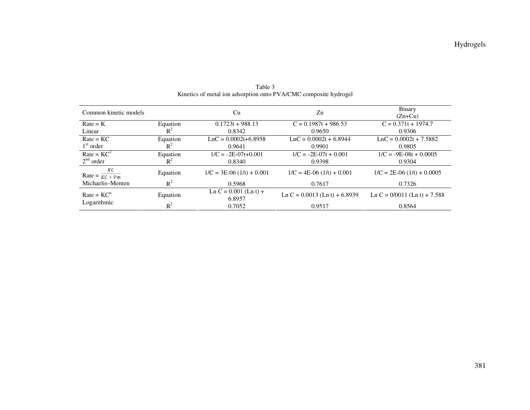| Common kinetic models             |          | Cu                                | Zn                                | Binary<br>$(Zn+Cu)$            |
|-----------------------------------|----------|-----------------------------------|-----------------------------------|--------------------------------|
|                                   |          |                                   |                                   |                                |
| $Rate = K$<br>Equation            |          | $0.1723t + 988.13$                | $C = 0.1987t + 986.53$            | $C = 0.371t + 1974.7$          |
| $R^2$<br>Linear                   |          | 0.8342                            | 0.9650                            | 0.9306                         |
| $Rate = KC$                       | Equation | $LnC = 0.0002t+6.8958$            | $LnC = 0.0002t + 6.8944$          | $LnC = 0.0002t + 7.5882$       |
| $1st$ order                       | $R^2$    | 0.9641                            | 0.9901                            | 0.9805                         |
| $Rate = KC^2$                     | Equation | $1/C = -2E - 07t + 0.001$         | $1/C = -2E-07t + 0.001$           | $1/C = -9E-08t + 0.0005$       |
| $2nd$ order                       | $R^2$    | 0.8340                            | 0.9398                            | 0.9304                         |
| КC<br>Rate = $\overline{KC + Vm}$ | Equation | $1/C = 3E-06(1/t) + 0.001$        | $1/C = 4E-06(1/t) + 0.001$        | $1/C = 2E-06(1/t) + 0.0005$    |
| Michaelis-Menten                  | $R^2$    | 0.5968                            | 0.7617                            | 0.7326                         |
| $Rate = KCn$                      | Equation | $Ln C = 0.001$ (Ln t) +<br>6.8957 | Ln C = $0.0013$ (Ln t) + $6.8939$ | Ln C = $0/0011$ (Ln t) + 7.588 |
| Logarithmic                       | $R^2$    | 0.7052                            | 0.9517                            | 0.8564                         |

Table 3 Kinetics of metal ion adsorption onto PVA/CMC composite hydrogel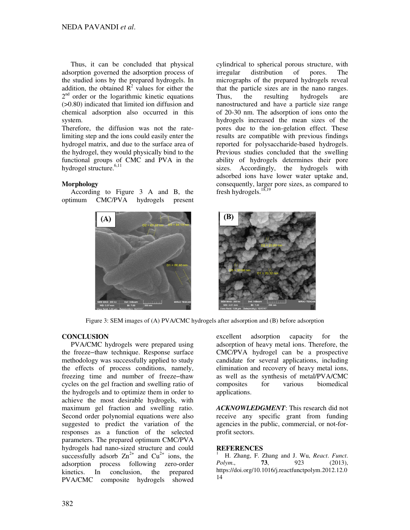Thus, it can be concluded that physical adsorption governed the adsorption process of the studied ions by the prepared hydrogels. In addition, the obtained  $\mathbb{R}^2$  values for either the 2<sup>nd</sup> order or the logarithmic kinetic equations (>0.80) indicated that limited ion diffusion and chemical adsorption also occurred in this system.

Therefore, the diffusion was not the ratelimiting step and the ions could easily enter the hydrogel matrix, and due to the surface area of the hydrogel, they would physically bind to the functional groups of CMC and PVA in the hydrogel structure.<sup>6,11</sup>

## **Morphology**

According to Figure 3 A and B, the optimum CMC/PVA hydrogels present



cylindrical to spherical porous structure, with irregular distribution of pores. The micrographs of the prepared hydrogels reveal that the particle sizes are in the nano ranges. Thus, the resulting hydrogels are nanostructured and have a particle size range of 20-30 nm. The adsorption of ions onto the hydrogels increased the mean sizes of the pores due to the ion-gelation effect. These results are compatible with previous findings reported for polysaccharide-based hydrogels. Previous studies concluded that the swelling ability of hydrogels determines their pore sizes. Accordingly, the hydrogels with adsorbed ions have lower water uptake and, consequently, larger pore sizes, as compared to fresh hydrogels.18,19



Figure 3: SEM images of (A) PVA/CMC hydrogels after adsorption and (B) before adsorption

# **CONCLUSION**

PVA/CMC hydrogels were prepared using the freeze−thaw technique. Response surface methodology was successfully applied to study the effects of process conditions, namely, freezing time and number of freeze−thaw cycles on the gel fraction and swelling ratio of the hydrogels and to optimize them in order to achieve the most desirable hydrogels, with maximum gel fraction and swelling ratio. Second order polynomial equations were also suggested to predict the variation of the responses as a function of the selected parameters. The prepared optimum CMC/PVA hydrogels had nano-sized structure and could successfully adsorb  $Zn^{2+}$  and  $Cu^{2+}$  ions, the adsorption process following zero-order kinetics. In conclusion, the prepared PVA/CMC composite hydrogels showed excellent adsorption capacity for the adsorption of heavy metal ions. Therefore, the CMC/PVA hydrogel can be a prospective candidate for several applications, including elimination and recovery of heavy metal ions, as well as the synthesis of metal/PVA/CMC composites for various biomedical applications.

*ACKNOWLEDGMENT*: This research did not receive any specific grant from funding agencies in the public, commercial, or not-forprofit sectors.

## **REFERENCES**

<sup>1</sup> H. Zhang, F. Zhang and J. Wu, *React*. *Funct*. *Polym*., **73**, 923 (2013), https://doi.org/10.1016/j.reactfunctpolym.2012.12.0 14